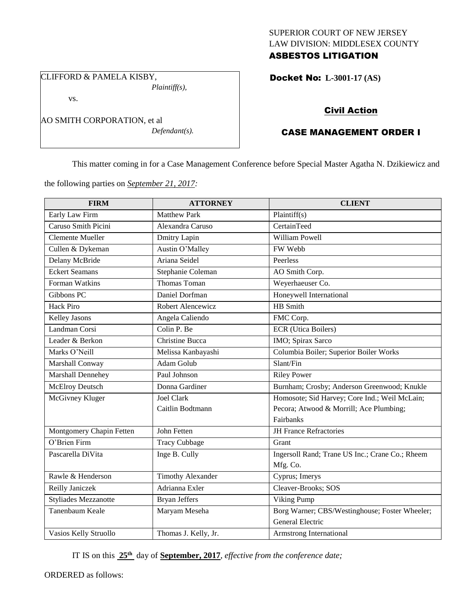## SUPERIOR COURT OF NEW JERSEY LAW DIVISION: MIDDLESEX COUNTY ASBESTOS LITIGATION

CLIFFORD & PAMELA KISBY, *Plaintiff(s),*

vs.

AO SMITH CORPORATION, et al *Defendant(s).* Docket No: **L-3001-17 (AS)** 

# Civil Action

## CASE MANAGEMENT ORDER I

This matter coming in for a Case Management Conference before Special Master Agatha N. Dzikiewicz and

the following parties on *September 21, 2017:*

| <b>FIRM</b>                 | <b>ATTORNEY</b>          | <b>CLIENT</b>                                   |
|-----------------------------|--------------------------|-------------------------------------------------|
| Early Law Firm              | <b>Matthew Park</b>      | Plaintiff(s)                                    |
| Caruso Smith Picini         | Alexandra Caruso         | CertainTeed                                     |
| <b>Clemente Mueller</b>     | Dmitry Lapin             | William Powell                                  |
| Cullen & Dykeman            | Austin O'Malley          | FW Webb                                         |
| Delany McBride              | Ariana Seidel            | Peerless                                        |
| <b>Eckert Seamans</b>       | Stephanie Coleman        | AO Smith Corp.                                  |
| Forman Watkins              | <b>Thomas Toman</b>      | Weyerhaeuser Co.                                |
| Gibbons PC                  | Daniel Dorfman           | Honeywell International                         |
| <b>Hack Piro</b>            | Robert Alencewicz        | HB Smith                                        |
| Kelley Jasons               | Angela Caliendo          | FMC Corp.                                       |
| Landman Corsi               | Colin P. Be              | <b>ECR</b> (Utica Boilers)                      |
| Leader & Berkon             | Christine Bucca          | IMO; Spirax Sarco                               |
| Marks O'Neill               | Melissa Kanbayashi       | Columbia Boiler; Superior Boiler Works          |
| Marshall Conway             | Adam Golub               | Slant/Fin                                       |
| Marshall Dennehey           | Paul Johnson             | <b>Riley Power</b>                              |
| McElroy Deutsch             | Donna Gardiner           | Burnham; Crosby; Anderson Greenwood; Knukle     |
| McGivney Kluger             | <b>Joel Clark</b>        | Homosote; Sid Harvey; Core Ind.; Weil McLain;   |
|                             | Caitlin Bodtmann         | Pecora; Atwood & Morrill; Ace Plumbing;         |
|                             |                          | Fairbanks                                       |
| Montgomery Chapin Fetten    | John Fetten              | <b>JH France Refractories</b>                   |
| O'Brien Firm                | <b>Tracy Cubbage</b>     | Grant                                           |
| Pascarella DiVita           | Inge B. Cully            | Ingersoll Rand; Trane US Inc.; Crane Co.; Rheem |
|                             |                          | Mfg. Co.                                        |
| Rawle & Henderson           | <b>Timothy Alexander</b> | Cyprus; Imerys                                  |
| Reilly Janiczek             | Adrianna Exler           | Cleaver-Brooks; SOS                             |
| <b>Styliades Mezzanotte</b> | <b>Bryan Jeffers</b>     | Viking Pump                                     |
| Tanenbaum Keale             | Maryam Meseha            | Borg Warner; CBS/Westinghouse; Foster Wheeler;  |
|                             |                          | General Electric                                |
| Vasios Kelly Struollo       | Thomas J. Kelly, Jr.     | Armstrong International                         |

IT IS on this **25th** day of **September, 2017**, *effective from the conference date;*

ORDERED as follows: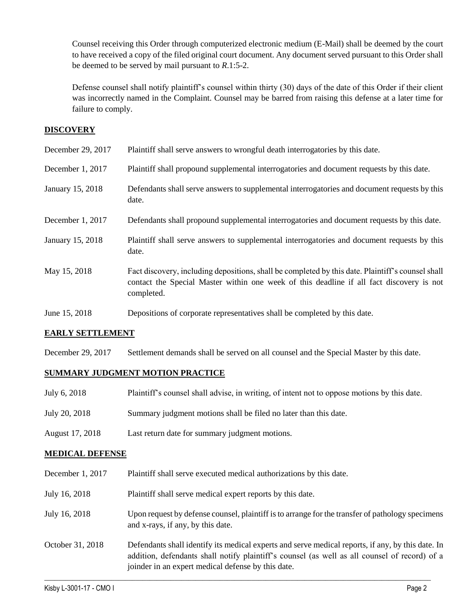Counsel receiving this Order through computerized electronic medium (E-Mail) shall be deemed by the court to have received a copy of the filed original court document. Any document served pursuant to this Order shall be deemed to be served by mail pursuant to *R*.1:5-2.

Defense counsel shall notify plaintiff's counsel within thirty (30) days of the date of this Order if their client was incorrectly named in the Complaint. Counsel may be barred from raising this defense at a later time for failure to comply.

## **DISCOVERY**

| December 29, 2017 | Plaintiff shall serve answers to wrongful death interrogatories by this date.                                                                                                                               |
|-------------------|-------------------------------------------------------------------------------------------------------------------------------------------------------------------------------------------------------------|
| December 1, 2017  | Plaintiff shall propound supplemental interrogatories and document requests by this date.                                                                                                                   |
| January 15, 2018  | Defendants shall serve answers to supplemental interrogatories and document requests by this<br>date.                                                                                                       |
| December 1, 2017  | Defendants shall propound supplemental interrogatories and document requests by this date.                                                                                                                  |
| January 15, 2018  | Plaintiff shall serve answers to supplemental interrogatories and document requests by this<br>date.                                                                                                        |
| May 15, 2018      | Fact discovery, including depositions, shall be completed by this date. Plaintiff's counsel shall<br>contact the Special Master within one week of this deadline if all fact discovery is not<br>completed. |
| June 15, 2018     | Depositions of corporate representatives shall be completed by this date.                                                                                                                                   |

## **EARLY SETTLEMENT**

December 29, 2017 Settlement demands shall be served on all counsel and the Special Master by this date.

## **SUMMARY JUDGMENT MOTION PRACTICE**

| July 6, 2018    | Plaintiff's counsel shall advise, in writing, of intent not to oppose motions by this date. |
|-----------------|---------------------------------------------------------------------------------------------|
| July 20, 2018   | Summary judgment motions shall be filed no later than this date.                            |
| August 17, 2018 | Last return date for summary judgment motions.                                              |

## **MEDICAL DEFENSE**

| December 1, 2017 | Plaintiff shall serve executed medical authorizations by this date.                                                                                                                                                                                      |
|------------------|----------------------------------------------------------------------------------------------------------------------------------------------------------------------------------------------------------------------------------------------------------|
| July 16, 2018    | Plaintiff shall serve medical expert reports by this date.                                                                                                                                                                                               |
| July 16, 2018    | Upon request by defense counsel, plaintiff is to arrange for the transfer of pathology specimens<br>and x-rays, if any, by this date.                                                                                                                    |
| October 31, 2018 | Defendants shall identify its medical experts and serve medical reports, if any, by this date. In<br>addition, defendants shall notify plaintiff's counsel (as well as all counsel of record) of a<br>joinder in an expert medical defense by this date. |

 $\_$  ,  $\_$  ,  $\_$  ,  $\_$  ,  $\_$  ,  $\_$  ,  $\_$  ,  $\_$  ,  $\_$  ,  $\_$  ,  $\_$  ,  $\_$  ,  $\_$  ,  $\_$  ,  $\_$  ,  $\_$  ,  $\_$  ,  $\_$  ,  $\_$  ,  $\_$  ,  $\_$  ,  $\_$  ,  $\_$  ,  $\_$  ,  $\_$  ,  $\_$  ,  $\_$  ,  $\_$  ,  $\_$  ,  $\_$  ,  $\_$  ,  $\_$  ,  $\_$  ,  $\_$  ,  $\_$  ,  $\_$  ,  $\_$  ,